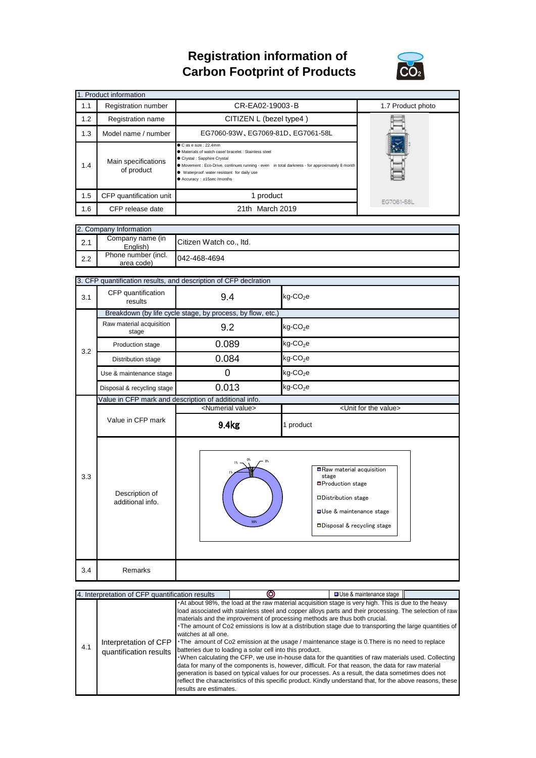## **Registration information of Carbon Footprint of Products**



|     | 1. Product information            |                                                                                                                                                                                                                                                                                                     |                   |
|-----|-----------------------------------|-----------------------------------------------------------------------------------------------------------------------------------------------------------------------------------------------------------------------------------------------------------------------------------------------------|-------------------|
| 1.1 | Registration number               | CR-EA02-19003-B                                                                                                                                                                                                                                                                                     | 1.7 Product photo |
| 1.2 | Registration name                 | CITIZEN L (bezel type4)                                                                                                                                                                                                                                                                             |                   |
| 1.3 | Model name / number               | EG7060-93W, EG7069-81D, EG7061-58L                                                                                                                                                                                                                                                                  |                   |
| 1.4 | Main specifications<br>of product | $\bullet$ C as e size : 22.4mm<br>● Materials of watch case/ bracelet : Stainless steel<br>Crystal : Sapphire Crystal<br>• Movement : Eco-Drive, continues running - even in total darkness - for approximately 8 month<br>· Waterproof: water resistant for daily use<br>● Accuracy: ±15sec/months |                   |
| 1.5 | CFP quantification unit           | 1 product                                                                                                                                                                                                                                                                                           | EG7061-58L        |
| 1.6 | CFP release date                  | 21th March 2019                                                                                                                                                                                                                                                                                     |                   |

| 2. Company Information |                                   |                         |  |
|------------------------|-----------------------------------|-------------------------|--|
| 2.1                    | Company name (in<br>Enalish)      | Citizen Watch co., Itd. |  |
| 2.2                    | Phone number (incl.<br>area code) | 042-468-4694            |  |

|     | 3. CFP quantification results, and description of CFP declration |                                                       |                                                                                                                                                               |  |  |
|-----|------------------------------------------------------------------|-------------------------------------------------------|---------------------------------------------------------------------------------------------------------------------------------------------------------------|--|--|
| 3.1 | CFP quantification<br>results                                    | 9.4                                                   | $kg$ -CO <sub>2</sub> e                                                                                                                                       |  |  |
|     | Breakdown (by life cycle stage, by process, by flow, etc.)       |                                                       |                                                                                                                                                               |  |  |
|     | Raw material acquisition<br>stage                                | 9.2                                                   | $kg$ -CO <sub>2</sub> e                                                                                                                                       |  |  |
| 3.2 | Production stage                                                 | 0.089                                                 | $kg$ -CO <sub>2</sub> e                                                                                                                                       |  |  |
|     | Distribution stage                                               | 0.084                                                 | $kg$ -CO <sub>2</sub> e                                                                                                                                       |  |  |
|     | Use & maintenance stage                                          | $\Omega$                                              | $kg$ -CO <sub>2</sub> e                                                                                                                                       |  |  |
|     | Disposal & recycling stage                                       | 0.013                                                 | $kg$ -CO <sub>2</sub> e                                                                                                                                       |  |  |
|     |                                                                  | Value in CFP mark and description of additional info. |                                                                                                                                                               |  |  |
|     | Value in CFP mark                                                | <numerial value=""></numerial>                        | <unit for="" the="" value=""></unit>                                                                                                                          |  |  |
|     |                                                                  | 9.4kg                                                 | 1 product                                                                                                                                                     |  |  |
| 3.3 | Description of<br>additional info.                               | 0%<br>0%<br>98%                                       | Raw material acquisition<br>stage<br>■Production stage<br>Distribution stage<br><b>OUse &amp; maintenance stage</b><br><b>ODisposal &amp; recycling stage</b> |  |  |
| 3.4 | Remarks                                                          |                                                       |                                                                                                                                                               |  |  |

| 4. Interpretation of CFP quantification results |                                                 |                                               |                                                                                                                                                                                                                                                                                                                                                                                                                                                                                                                                                                                                                                                                                                                                                                                                                                                                                                                                                                                                           | □ Use & maintenance stage |  |
|-------------------------------------------------|-------------------------------------------------|-----------------------------------------------|-----------------------------------------------------------------------------------------------------------------------------------------------------------------------------------------------------------------------------------------------------------------------------------------------------------------------------------------------------------------------------------------------------------------------------------------------------------------------------------------------------------------------------------------------------------------------------------------------------------------------------------------------------------------------------------------------------------------------------------------------------------------------------------------------------------------------------------------------------------------------------------------------------------------------------------------------------------------------------------------------------------|---------------------------|--|
| 4.1                                             | Interpretation of CFP<br>quantification results | watches at all one.<br>results are estimates. | . At about 98%, the load at the raw material acquisition stage is very high. This is due to the heavy<br>load associated with stainless steel and copper alloys parts and their processing. The selection of raw<br>materials and the improvement of processing methods are thus both crucial.<br>The amount of Co2 emissions is low at a distribution stage due to transporting the large quantities of<br>• The amount of Co2 emission at the usage / maintenance stage is 0. There is no need to replace<br>batteries due to loading a solar cell into this product.<br>. When calculating the CFP, we use in-house data for the quantities of raw materials used. Collecting<br>data for many of the components is, however, difficult. For that reason, the data for raw material<br>generation is based on typical values for our processes. As a result, the data sometimes does not<br>reflect the characteristics of this specific product. Kindly understand that, for the above reasons, these |                           |  |